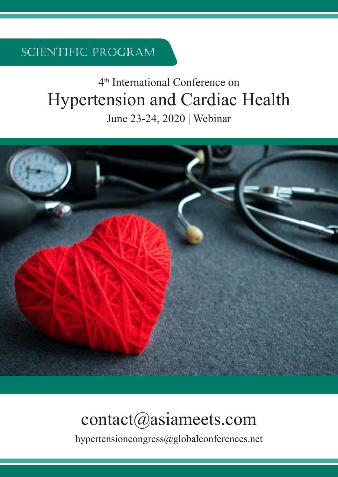Scientific Program

# 4th International Conference on Hypertension and Cardiac Health

June 23-24, 2020 | Webinar



## contact@asiameets.com

hypertensioncongress@globalconferences.net